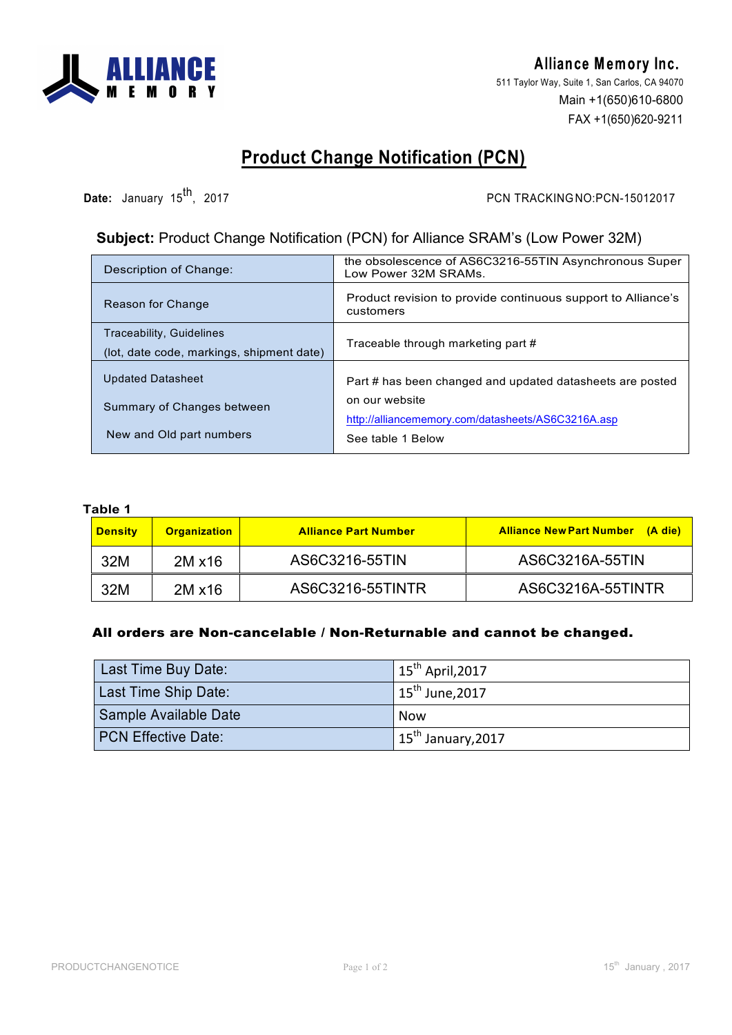

Alliance Memory Inc. 511 Taylor Way, Suite 1, San Carlos, CA 94070 Main +1(650)610-6800 FAX +1(650)620-9211

## **Product Change Notification (PCN)**

**Date:** January 15<sup>th</sup>, 2017 **PCN TRACKINGNO:PCN-15012017** 

## **Subject:** Product Change Notification (PCN) for Alliance SRAM's (Low Power 32M)

| Description of Change:                                                       | the obsolescence of AS6C3216-55TIN Asynchronous Super<br>Low Power 32M SRAMs. |
|------------------------------------------------------------------------------|-------------------------------------------------------------------------------|
| Reason for Change                                                            | Product revision to provide continuous support to Alliance's<br>customers     |
| <b>Traceability, Guidelines</b><br>(lot, date code, markings, shipment date) | Traceable through marketing part #                                            |
| <b>Updated Datasheet</b>                                                     |                                                                               |
|                                                                              | Part # has been changed and updated datasheets are posted                     |
| Summary of Changes between                                                   | on our website                                                                |
|                                                                              | http://alliancememory.com/datasheets/AS6C3216A.asp                            |
| New and Old part numbers                                                     | See table 1 Below                                                             |
|                                                                              |                                                                               |

## **Table 1**

| <b>Density</b> | <b>Organization</b> | <b>Alliance Part Number</b> | <b>Alliance New Part Number</b><br>(A die) |
|----------------|---------------------|-----------------------------|--------------------------------------------|
| 32M            | $2M \times 16$      | AS6C3216-55TIN              | AS6C3216A-55TIN                            |
| 32M            | $2M \times 16$      | AS6C3216-55TINTR            | AS6C3216A-55TINTR                          |

## All orders are Non-cancelable / Non-Returnable and cannot be changed.

| Last Time Buy Date:        | $\vert$ 15 <sup>th</sup> April, 2017      |
|----------------------------|-------------------------------------------|
| Last Time Ship Date:       | $\parallel$ 15 <sup>th</sup> June,2017    |
| Sample Available Date      | <b>Now</b>                                |
| <b>PCN Effective Date:</b> | $\parallel$ 15 <sup>th</sup> January,2017 |